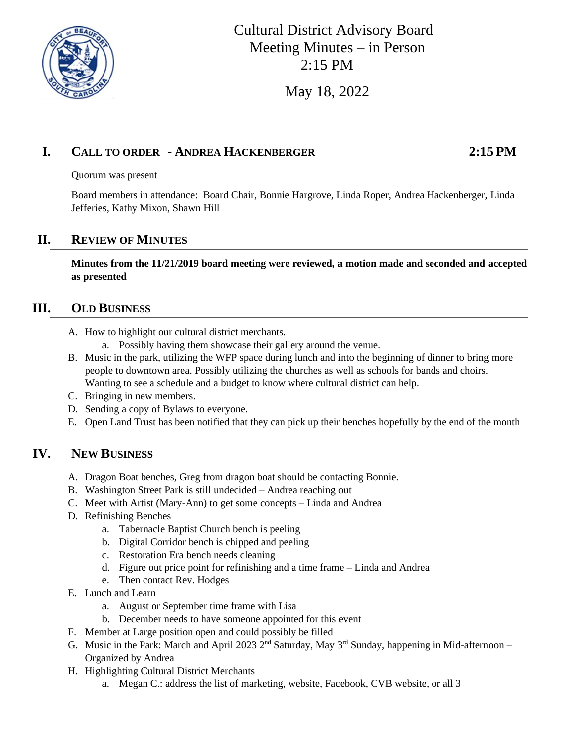

# Cultural District Advisory Board Meeting Minutes – in Person 2:15 PM

May 18, 2022

### **I. CALL TO ORDER - ANDREA HACKENBERGER 2:15 PM**

Quorum was present

Board members in attendance: Board Chair, Bonnie Hargrove, Linda Roper, Andrea Hackenberger, Linda Jefferies, Kathy Mixon, Shawn Hill

#### **II. REVIEW OF MINUTES**

**Minutes from the 11/21/2019 board meeting were reviewed, a motion made and seconded and accepted as presented**

#### **III. OLD BUSINESS**

- A. How to highlight our cultural district merchants.
	- a. Possibly having them showcase their gallery around the venue.
- B. Music in the park, utilizing the WFP space during lunch and into the beginning of dinner to bring more people to downtown area. Possibly utilizing the churches as well as schools for bands and choirs. Wanting to see a schedule and a budget to know where cultural district can help.
- C. Bringing in new members.
- D. Sending a copy of Bylaws to everyone.
- E. Open Land Trust has been notified that they can pick up their benches hopefully by the end of the month

#### **IV. NEW BUSINESS**

- A. Dragon Boat benches, Greg from dragon boat should be contacting Bonnie.
- B. Washington Street Park is still undecided Andrea reaching out
- C. Meet with Artist (Mary-Ann) to get some concepts Linda and Andrea
- D. Refinishing Benches
	- a. Tabernacle Baptist Church bench is peeling
	- b. Digital Corridor bench is chipped and peeling
	- c. Restoration Era bench needs cleaning
	- d. Figure out price point for refinishing and a time frame Linda and Andrea
	- e. Then contact Rev. Hodges
- E. Lunch and Learn
	- a. August or September time frame with Lisa
	- b. December needs to have someone appointed for this event
- F. Member at Large position open and could possibly be filled
- G. Music in the Park: March and April 2023  $2<sup>nd</sup>$  Saturday, May  $3<sup>rd</sup>$  Sunday, happening in Mid-afternoon Organized by Andrea
- H. Highlighting Cultural District Merchants
	- a. Megan C.: address the list of marketing, website, Facebook, CVB website, or all 3